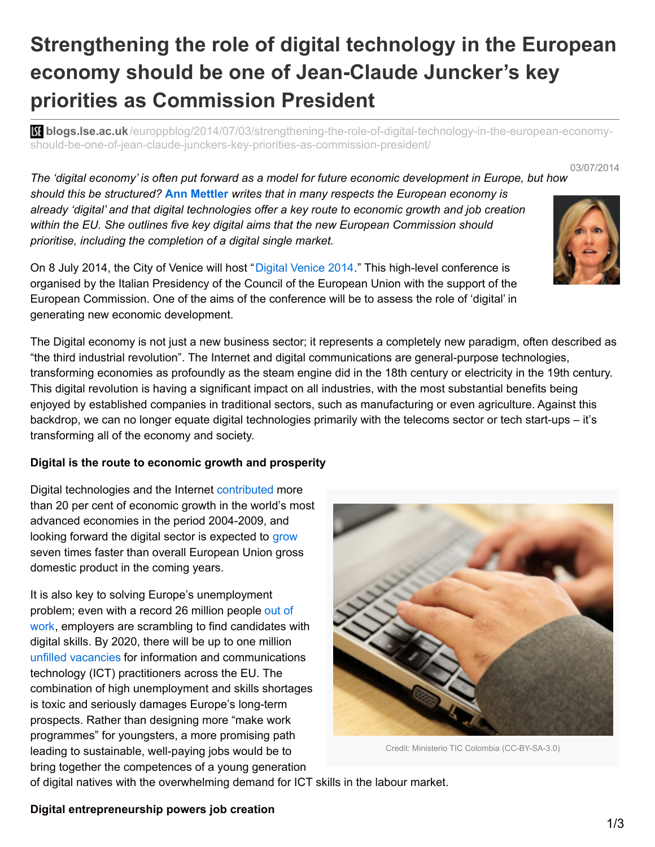# **Strengthening the role of digital technology in the European economy should be one of Jean-Claude Juncker's key priorities as Commission President**

**bli blogs.lse.ac.uk**[/europpblog/2014/07/03/strengthening-the-role-of-digital-technology-in-the-european-economy](http://blogs.lse.ac.uk/europpblog/2014/07/03/strengthening-the-role-of-digital-technology-in-the-european-economy-should-be-one-of-jean-claude-junckers-key-priorities-as-commission-president/)should-be-one-of-jean-claude-junckers-key-priorities-as-commission-president/

03/07/2014

The 'digital economy' is often put forward as a model for future economic development in Europe, but how *should this be structured?* **Ann Mettler** *writes that in many respects the European economy is already 'digital' and that digital technologies offer a key route to economic growth and job creation within the EU. She outlines five key digital aims that the new European Commission should prioritise, including the completion of a digital single market.*

On 8 July 2014, the City of Venice will host "Digital [Venice](http://www.digitalvenice.eu/) 2014." This high-level conference is organised by the Italian Presidency of the Council of the European Union with the support of the European Commission. One of the aims of the conference will be to assess the role of 'digital' in generating new economic development.

The Digital economy is not just a new business sector; it represents a completely new paradigm, often described as "the third industrial revolution". The Internet and digital communications are general-purpose technologies, transforming economies as profoundly as the steam engine did in the 18th century or electricity in the 19th century. This digital revolution is having a significant impact on all industries, with the most substantial benefits being enjoyed by established companies in traditional sectors, such as manufacturing or even agriculture. Against this backdrop, we can no longer equate digital technologies primarily with the telecoms sector or tech start-ups – it's transforming all of the economy and society.

## **Digital is the route to economic growth and prosperity**

Digital technologies and the Internet [contributed](http://www.mckinsey.com/insights/high_tech_telecoms_internet/internet_matters) more than 20 per cent of economic growth in the world's most advanced economies in the period 2004-2009, and looking forward the digital sector is expected to [grow](http://europa.eu/rapid/press-release_IP-12-1394_en.htm) seven times faster than overall European Union gross domestic product in the coming years.

It is also key to solving Europe's unemployment problem; even with a record 26 million people out of work, employers are scrambling to find [candidates](http://www.eutimes.net/2014/03/26-million-in-eu-eurozone-remain-unemployed-eurostat/) with digital skills. By 2020, there will be up to one million unfilled [vacancies](http://ec.europa.eu/digital-agenda/en/grand-coalition-digital-jobs) for information and communications technology (ICT) practitioners across the EU. The combination of high unemployment and skills shortages is toxic and seriously damages Europe's long-term prospects. Rather than designing more "make work programmes" for youngsters, a more promising path leading to sustainable, well-paying jobs would be to bring together the competences of a young generation



Credit: Ministerio TIC Colombia (CC-BY-SA-3.0)

of digital natives with the overwhelming demand for ICT skills in the labour market.

## **Digital entrepreneurship powers job creation**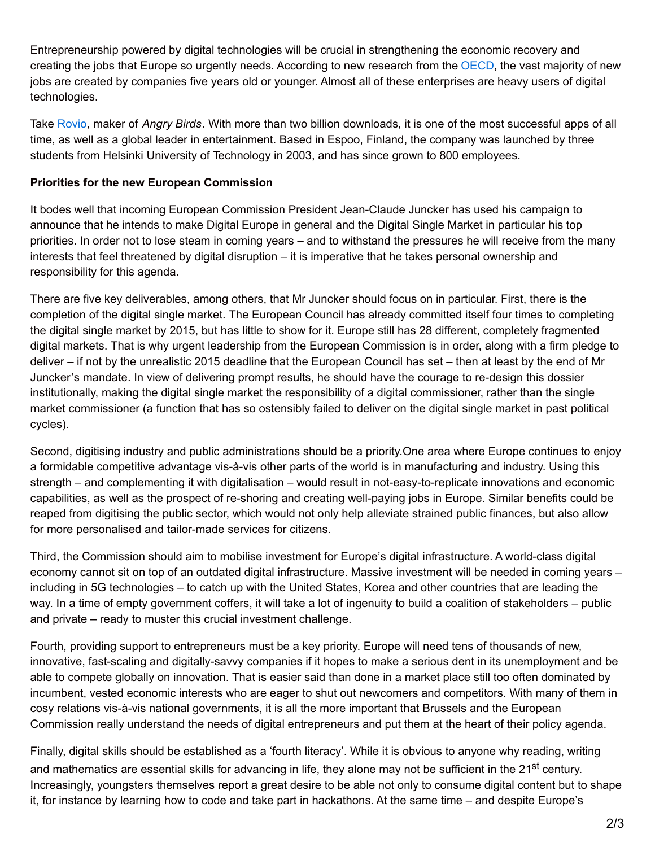Entrepreneurship powered by digital technologies will be crucial in strengthening the economic recovery and creating the jobs that Europe so urgently needs. According to new research from the [OECD](http://www.oecd.org/newsroom/innovation-support-for-young-firms-would-boost-job-creation.htm), the vast majority of new jobs are created by companies five years old or younger. Almost all of these enterprises are heavy users of digital technologies.

Take [Rovio](http://www.rovio.com/), maker of *Angry Birds*. With more than two billion downloads, it is one of the most successful apps of all time, as well as a global leader in entertainment. Based in Espoo, Finland, the company was launched by three students from Helsinki University of Technology in 2003, and has since grown to 800 employees.

### **Priorities for the new European Commission**

It bodes well that incoming European Commission President Jean-Claude Juncker has used his campaign to announce that he intends to make Digital Europe in general and the Digital Single Market in particular his top priorities. In order not to lose steam in coming years – and to withstand the pressures he will receive from the many interests that feel threatened by digital disruption – it is imperative that he takes personal ownership and responsibility for this agenda.

There are five key deliverables, among others, that Mr Juncker should focus on in particular. First, there is the completion of the digital single market. The European Council has already committed itself four times to completing the digital single market by 2015, but has little to show for it. Europe still has 28 different, completely fragmented digital markets. That is why urgent leadership from the European Commission is in order, along with a firm pledge to deliver – if not by the unrealistic 2015 deadline that the European Council has set – then at least by the end of Mr Juncker's mandate. In view of delivering prompt results, he should have the courage to re-design this dossier institutionally, making the digital single market the responsibility of a digital commissioner, rather than the single market commissioner (a function that has so ostensibly failed to deliver on the digital single market in past political cycles).

Second, digitising industry and public administrations should be a priority.One area where Europe continues to enjoy a formidable competitive advantage vis-à-vis other parts of the world is in manufacturing and industry. Using this strength – and complementing it with digitalisation – would result in not-easy-to-replicate innovations and economic capabilities, as well as the prospect of re-shoring and creating well-paying jobs in Europe. Similar benefits could be reaped from digitising the public sector, which would not only help alleviate strained public finances, but also allow for more personalised and tailor-made services for citizens.

Third, the Commission should aim to mobilise investment for Europe's digital infrastructure. A world-class digital economy cannot sit on top of an outdated digital infrastructure. Massive investment will be needed in coming years – including in 5G technologies – to catch up with the United States, Korea and other countries that are leading the way. In a time of empty government coffers, it will take a lot of ingenuity to build a coalition of stakeholders – public and private – ready to muster this crucial investment challenge.

Fourth, providing support to entrepreneurs must be a key priority. Europe will need tens of thousands of new, innovative, fast-scaling and digitally-savvy companies if it hopes to make a serious dent in its unemployment and be able to compete globally on innovation. That is easier said than done in a market place still too often dominated by incumbent, vested economic interests who are eager to shut out newcomers and competitors. With many of them in cosy relations vis-à-vis national governments, it is all the more important that Brussels and the European Commission really understand the needs of digital entrepreneurs and put them at the heart of their policy agenda.

Finally, digital skills should be established as a 'fourth literacy'. While it is obvious to anyone why reading, writing and mathematics are essential skills for advancing in life, they alone may not be sufficient in the 21<sup>st</sup> century. Increasingly, youngsters themselves report a great desire to be able not only to consume digital content but to shape it, for instance by learning how to code and take part in hackathons. At the same time – and despite Europe's